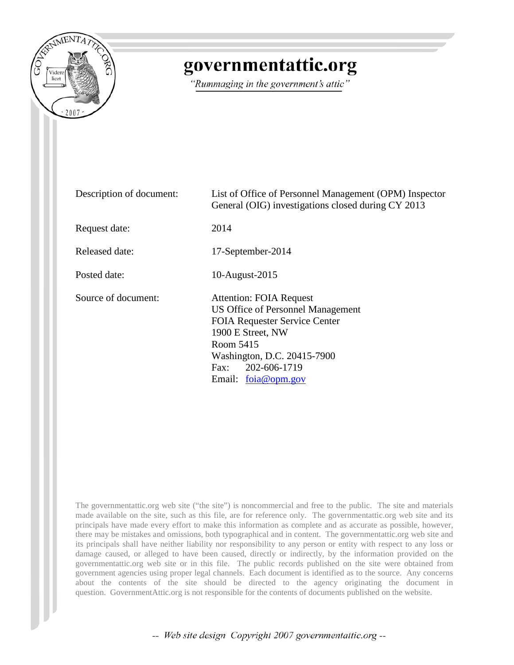

## governmentattic.org

"Rummaging in the government's attic"

| Description of document: | List of Office of Personnel Management (OPM) Inspector<br>General (OIG) investigations closed during CY 2013                                                                                                               |
|--------------------------|----------------------------------------------------------------------------------------------------------------------------------------------------------------------------------------------------------------------------|
| Request date:            | 2014                                                                                                                                                                                                                       |
| Released date:           | 17-September-2014                                                                                                                                                                                                          |
| Posted date:             | 10-August-2015                                                                                                                                                                                                             |
| Source of document:      | <b>Attention: FOIA Request</b><br>US Office of Personnel Management<br><b>FOIA Requester Service Center</b><br>1900 E Street, NW<br>Room 5415<br>Washington, D.C. 20415-7900<br>Fax: 202-606-1719<br>Email: $foia@opm.gov$ |

The governmentattic.org web site ("the site") is noncommercial and free to the public. The site and materials made available on the site, such as this file, are for reference only. The governmentattic.org web site and its principals have made every effort to make this information as complete and as accurate as possible, however, there may be mistakes and omissions, both typographical and in content. The governmentattic.org web site and its principals shall have neither liability nor responsibility to any person or entity with respect to any loss or damage caused, or alleged to have been caused, directly or indirectly, by the information provided on the governmentattic.org web site or in this file. The public records published on the site were obtained from government agencies using proper legal channels. Each document is identified as to the source. Any concerns about the contents of the site should be directed to the agency originating the document in question. GovernmentAttic.org is not responsible for the contents of documents published on the website.

-- Web site design Copyright 2007 governmentattic.org --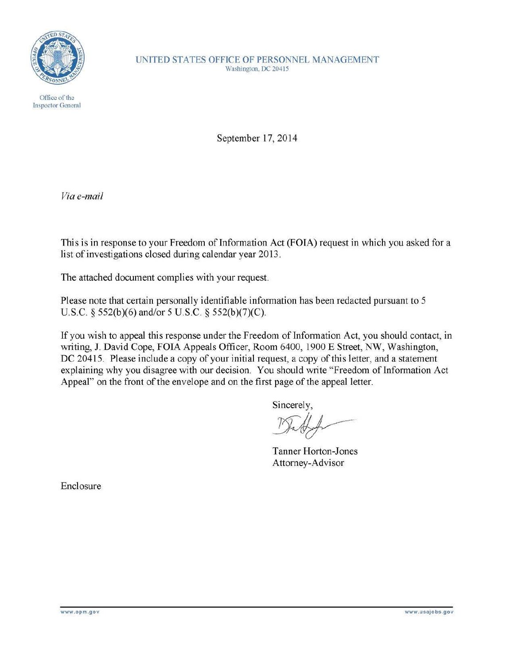

UNITED STATES OFFICE OF PERSONNEL MANAGEMENT Washington, DC 20415

Office of the Inspector General

September 17, 2014

*Via e-mail* 

This is in response to your Freedom of Information Act (FOIA) request in which you asked for a list of investigations closed during calendar year 2013.

The attached document complies with your request.

Please note that certain personally identifiable information has been redacted pursuant to 5 U.S.C. § 552(b)(6) and/or 5 U.S.C. § 552(b)(7)(C).

If you wish to appeal this response under the Freedom of Information Act, you should contact, in writing, J. David Cope, FOIA Appeals Officer, Room 6400, 1900 E Street, NW, Washington, DC 20415. Please include a copy of your initial request, a copy of this letter, and a statement explaining why you disagree with our decision. You should write "Freedom of Information Act Appeal" on the front of the envelope and on the first page of the appeal letter.

Sincerely,

sincerely,

Tanner Horton-Jones Attorney-Advisor

Enclosure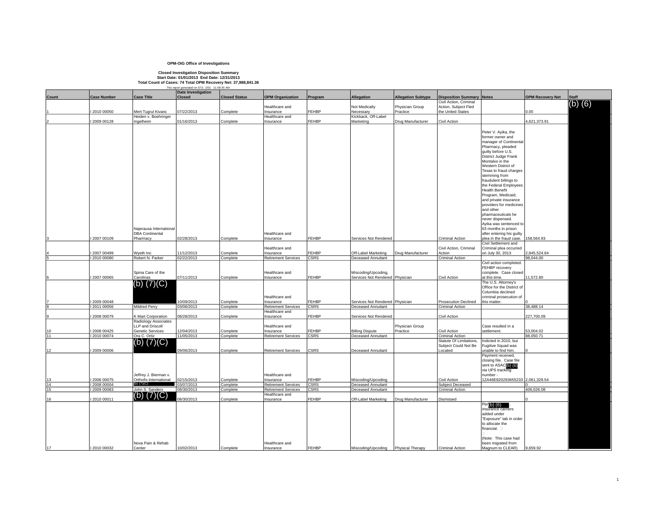## **OPM-OIG Office of Investigations**

## Closed Investigation Disposition Summary<br>Start Date: 01/01/2013 End Date: 12/31/2013<br>Total Count of Cases: 74 Total OPM Recovery Net: 37,988,841.36<br>This report generated on 07/1 /201 11:08:35 AM

|       |                          |                               | <b>Date Investigation</b> |                      |                                              |                                        |                                           |                             |                                           |                                             |                           |              |  |
|-------|--------------------------|-------------------------------|---------------------------|----------------------|----------------------------------------------|----------------------------------------|-------------------------------------------|-----------------------------|-------------------------------------------|---------------------------------------------|---------------------------|--------------|--|
| Count | <b>Case Number</b>       | <b>Case Title</b>             | <b>Closed</b>             | <b>Closed Status</b> | <b>OPM Organization</b>                      | Program                                | <b>Allegation</b>                         | <b>Allegation Subtype</b>   | <b>Disposition Summary Notes</b>          |                                             | <b>OPM Recovery Net</b>   | <b>Staff</b> |  |
|       |                          |                               |                           |                      |                                              |                                        |                                           |                             | Civil Action, Criminal                    |                                             |                           | $(b)$ $(6)$  |  |
|       | 2010 00050               | Mert Tugrul Kivanc            | 07/22/2013                | Complete             | Healthcare and<br>Insurance                  | FEHBP                                  | Not Medically<br>Necessary                | Physician Group<br>Practice | Action, Subject Fled<br>the United States |                                             | 0.00                      |              |  |
|       |                          | Heiden v. Boehringer          |                           |                      | Healthcare and                               |                                        | Kickback, Off-Label                       |                             |                                           |                                             |                           |              |  |
|       | 2009 00128               | Ingelheim                     | 01/16/2013                | Complete             | Insurance                                    | FEHBP                                  | Marketing                                 | Drug Manufacturer           | Civil Action                              |                                             | 4,621,373.91              |              |  |
|       |                          |                               |                           |                      |                                              |                                        |                                           |                             |                                           |                                             |                           |              |  |
|       |                          |                               |                           |                      |                                              |                                        |                                           |                             |                                           | Peter V. Ayika, the                         |                           |              |  |
|       |                          |                               |                           |                      |                                              |                                        |                                           |                             |                                           | ormer owner and                             |                           |              |  |
|       |                          |                               |                           |                      |                                              |                                        |                                           |                             |                                           | manager of Continenta                       |                           |              |  |
|       |                          |                               |                           |                      |                                              |                                        |                                           |                             |                                           | Pharmacy, pleaded                           |                           |              |  |
|       |                          |                               |                           |                      |                                              |                                        |                                           |                             |                                           | quilty before U.S.                          |                           |              |  |
|       |                          |                               |                           |                      |                                              |                                        |                                           |                             |                                           | District Judge Frank                        |                           |              |  |
|       |                          |                               |                           |                      |                                              |                                        |                                           |                             |                                           | Montalvo in the                             |                           |              |  |
|       |                          |                               |                           |                      |                                              |                                        |                                           |                             |                                           | Western District of                         |                           |              |  |
|       |                          |                               |                           |                      |                                              |                                        |                                           |                             |                                           | Texas to fraud charges                      |                           |              |  |
|       |                          |                               |                           |                      |                                              |                                        |                                           |                             |                                           | stemming from                               |                           |              |  |
|       |                          |                               |                           |                      |                                              |                                        |                                           |                             |                                           | fraudulent billings to                      |                           |              |  |
|       |                          |                               |                           |                      |                                              |                                        |                                           |                             |                                           | the Federal Employee:                       |                           |              |  |
|       |                          |                               |                           |                      |                                              |                                        |                                           |                             |                                           | <b>Health Benefit</b><br>Program, Medicaid, |                           |              |  |
|       |                          |                               |                           |                      |                                              |                                        |                                           |                             |                                           | and private insurance                       |                           |              |  |
|       |                          |                               |                           |                      |                                              |                                        |                                           |                             |                                           | providers for medicines                     |                           |              |  |
|       |                          |                               |                           |                      |                                              |                                        |                                           |                             |                                           | and other                                   |                           |              |  |
|       |                          |                               |                           |                      |                                              |                                        |                                           |                             |                                           | pharmaceuticals he                          |                           |              |  |
|       |                          |                               |                           |                      |                                              |                                        |                                           |                             |                                           | never dispensed.                            |                           |              |  |
|       |                          |                               |                           |                      |                                              |                                        |                                           |                             |                                           | Ayika was sentenced to                      |                           |              |  |
|       |                          | Naierausa International       |                           |                      |                                              |                                        |                                           |                             |                                           | 63 months in prison                         |                           |              |  |
|       |                          | <b>DBA Continental</b>        |                           |                      | Healthcare and                               |                                        |                                           |                             |                                           | after entering his quilty                   |                           |              |  |
|       | 2007 00109               | Pharmacy                      | 02/28/2013                | Complete             | Insurance                                    | <b>EHBP</b>                            | Services Not Rendered                     |                             | Criminal Action                           | blea in the fraud case.                     | 58,564.93                 |              |  |
|       |                          |                               |                           |                      |                                              |                                        |                                           |                             |                                           | Civil Settlement and                        |                           |              |  |
|       |                          |                               |                           |                      | Healthcare and                               |                                        |                                           |                             | Civil Action, Criminal                    | Criminal plea occurred                      |                           |              |  |
|       | 2007 00499<br>2010 00080 | Wyeth Inc<br>Robert N. Parker | 11/12/2013<br>02/22/2013  | Complete<br>Complete | Insurance<br><b>Retirement Services</b>      | <b>EHBP</b><br>$\overline{\text{SRS}}$ | Off-Label Marketing<br>Deceased Annuitant | <b>Drug Manufacturer</b>    | Action<br>Criminal Action                 | on July 30, 2013                            | 9,845,524.64<br>98.044.00 |              |  |
|       |                          |                               |                           |                      |                                              |                                        |                                           |                             |                                           | Civil action completed                      |                           |              |  |
|       |                          |                               |                           |                      |                                              |                                        |                                           |                             |                                           | FEHBP recovery                              |                           |              |  |
|       |                          | Spina Care of the             |                           |                      | Healthcare and                               |                                        | Miscoding/Upcoding,                       |                             |                                           | complete. Case closed                       |                           |              |  |
|       | 2007 00065               | Carolinas                     | 07/11/2013                | Complete             | Insurance                                    | <b>FEHBP</b>                           | Services Not Rendered Physician           |                             | Civil Action                              | at this time.                               | 1,572.80                  |              |  |
|       |                          | $(b)$ $(7)(C)$                |                           |                      |                                              |                                        |                                           |                             |                                           | The U.S. Attorney's                         |                           |              |  |
|       |                          |                               |                           |                      |                                              |                                        |                                           |                             |                                           | Office for the District of                  |                           |              |  |
|       |                          |                               |                           |                      |                                              |                                        |                                           |                             |                                           | Columbia declined                           |                           |              |  |
|       |                          |                               |                           |                      | Healthcare and                               |                                        |                                           |                             |                                           | criminal prosecution of                     |                           |              |  |
|       | 2009 00048               |                               | 10/09/2013                | Complete             | Insurance                                    | <b>EHBP</b>                            | Services Not Rendered Physician           |                             | Prosecution Declined                      | this matter.                                |                           |              |  |
|       | 2011 00056               | Mildred Perry                 | 03/06/2013                | Complete             | <b>Retirement Services</b><br>Healthcare and | <b>CSRS</b>                            | <b>Deceased Annuitant</b>                 |                             | <b>Criminal Action</b>                    |                                             | 38,488.14                 |              |  |
|       | 2008 00079               | <b>KMart Corporation</b>      | 08/28/2013                | Complete             | Insurance                                    | <b>EHBP</b>                            | Services Not Rendered                     |                             | Civil Action                              |                                             | 227,700.09                |              |  |
|       |                          | Radiology Associates          |                           |                      |                                              |                                        |                                           |                             |                                           |                                             |                           |              |  |
|       |                          | <b>LLP</b> and Driscoll       |                           |                      | Healthcare and                               |                                        |                                           | Physician Group             |                                           | Case resulted in a                          |                           |              |  |
|       | 2008 00425               | Genetic Services              | 12/04/2013                | Complete             | Insurance                                    | <b>EHBP</b>                            | <b>Billing Dispute</b>                    | Practice                    | Civil Action                              | settlement.                                 | 53.004.02                 |              |  |
| 11    | 2010 00074               | Ora C. Ortiz                  | 11/05/2013                | Complete             | <b>Retirement Services</b>                   | CSRS                                   | Deceased Annuitant                        |                             | <b>Criminal Action</b>                    |                                             | 88,050.71                 |              |  |
|       |                          | (b) (7)(C)                    |                           |                      |                                              |                                        |                                           |                             | Statute Of Limitations.                   | ndicted in 2010, but                        |                           |              |  |
| 12    | 2009 00006               |                               | 09/06/2013                | Complete             | <b>Retirement Services</b>                   | CSRS                                   | Deceased Annuitant                        |                             | Subject Could Not Be<br>Located           | Fugitive Squad was<br>unable to find him.   |                           |              |  |
|       |                          |                               |                           |                      |                                              |                                        |                                           |                             |                                           | Payment received,                           |                           |              |  |
|       |                          |                               |                           |                      |                                              |                                        |                                           |                             |                                           | closing file. Case file                     |                           |              |  |
|       |                          |                               |                           |                      |                                              |                                        |                                           |                             |                                           | sent to ASAC(D) (6)                         |                           |              |  |
|       |                          |                               |                           |                      |                                              |                                        |                                           |                             |                                           | via UPS tracking                            |                           |              |  |
|       |                          | Jeffrey J. Bierman v.         |                           |                      | Healthcare and                               |                                        |                                           |                             |                                           | number -                                    |                           |              |  |
| 13    | 2006 00075               | Orthofix International        | 02/15/2013                | Complete             | Insurance                                    | FEHBP                                  | Miscoding/Upcoding                        |                             | Civil Action                              | 1ZA46E820293655233                          | 2,061,329.54              |              |  |
| 14    | 2008 00004               | (b) (7)(C)                    | 03/07/2013                | Complete             | <b>Retirement Services</b>                   | <b>SRS</b>                             | Deceased Annuitant                        |                             | Subject Deceased                          |                                             |                           |              |  |
| 15    | 2009 00083               | John S. Sanders               | 08/30/2013                | Complete             | <b>Retirement Services</b>                   | <b>SRS</b>                             | Deceased Annuitant                        |                             | <b>Criminal Action</b>                    |                                             | 406,026.08                |              |  |
|       |                          | (b) $(7)(C)$                  |                           |                      | Healthcare and                               | FEHBP                                  |                                           |                             |                                           |                                             |                           |              |  |
| 16    | 2010 00011               |                               | 08/30/2013                | Complete             | Insurance                                    |                                        | Off-Label Marketing                       | Drug Manufacturer           | Dismissed                                 |                                             |                           |              |  |
|       |                          |                               |                           |                      |                                              |                                        |                                           |                             |                                           | r(b) (6)                                    |                           |              |  |
|       |                          |                               |                           |                      |                                              |                                        |                                           |                             |                                           | added under                                 |                           |              |  |
|       |                          |                               |                           |                      |                                              |                                        |                                           |                             |                                           | 'Exposure" tab in order                     |                           |              |  |
|       |                          |                               |                           |                      |                                              |                                        |                                           |                             |                                           | to allocate the                             |                           |              |  |
|       |                          |                               |                           |                      |                                              |                                        |                                           |                             |                                           | financial. <sub>[1]</sub>                   |                           |              |  |
|       |                          |                               |                           |                      |                                              |                                        |                                           |                             |                                           |                                             |                           |              |  |
|       |                          |                               |                           |                      |                                              |                                        |                                           |                             |                                           | Note: This case had                         |                           |              |  |
| 17    | 2010 00032               | Nova Pain & Rehab<br>Center   | 10/02/2013                | Complete             | Healthcare and<br>Insurance                  | FEHBP                                  | Miscoding/Upcoding Physical Therapy       |                             | <b>Criminal Action</b>                    | been migrated from<br>Magnum to CLEAR)      | 9.659.92                  |              |  |
|       |                          |                               |                           |                      |                                              |                                        |                                           |                             |                                           |                                             |                           |              |  |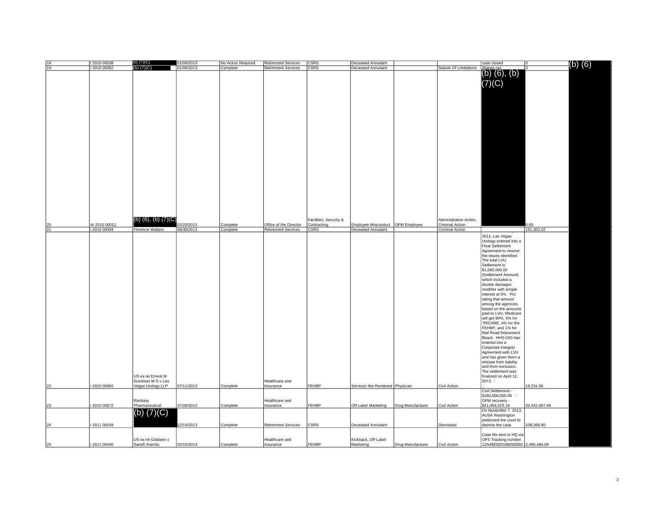| $\overline{18}$ | 12010 00038   | (b) $(7)(C)$               | 01/09/2013 | No Action Required | <b>Retirement Services</b> | <b>CSRS</b>            | Deceased Annuitant              |                   |                               | case closed                              |               |             |
|-----------------|---------------|----------------------------|------------|--------------------|----------------------------|------------------------|---------------------------------|-------------------|-------------------------------|------------------------------------------|---------------|-------------|
| 19              | 2010 00082    | (b) (7)(C)                 | 01/09/2013 | Complete           | <b>Retirement Services</b> | CSRS                   | Deceased Annuitant              |                   | <b>Statute Of Limitations</b> |                                          |               | $(b)$ $(6)$ |
|                 |               |                            |            |                    |                            |                        |                                 |                   |                               | $(b)$ $(6)$ , $(b)$<br>$(7)(C)$          |               |             |
|                 |               |                            |            |                    |                            |                        |                                 |                   |                               |                                          |               |             |
|                 |               |                            |            |                    |                            |                        |                                 |                   |                               |                                          |               |             |
|                 |               |                            |            |                    |                            |                        |                                 |                   |                               |                                          |               |             |
|                 |               |                            |            |                    |                            |                        |                                 |                   |                               |                                          |               |             |
|                 |               |                            |            |                    |                            |                        |                                 |                   |                               |                                          |               |             |
|                 |               |                            |            |                    |                            |                        |                                 |                   |                               |                                          |               |             |
|                 |               |                            |            |                    |                            |                        |                                 |                   |                               |                                          |               |             |
|                 |               |                            |            |                    |                            |                        |                                 |                   |                               |                                          |               |             |
|                 |               |                            |            |                    |                            |                        |                                 |                   |                               |                                          |               |             |
|                 |               |                            |            |                    |                            |                        |                                 |                   |                               |                                          |               |             |
|                 |               |                            |            |                    |                            |                        |                                 |                   |                               |                                          |               |             |
|                 |               |                            |            |                    |                            |                        |                                 |                   |                               |                                          |               |             |
|                 |               |                            |            |                    |                            |                        |                                 |                   |                               |                                          |               |             |
|                 |               |                            |            |                    |                            |                        |                                 |                   |                               |                                          |               |             |
|                 |               |                            |            |                    |                            |                        |                                 |                   |                               |                                          |               |             |
|                 |               |                            |            |                    |                            |                        |                                 |                   |                               |                                          |               |             |
|                 |               |                            |            |                    |                            |                        |                                 |                   |                               |                                          |               |             |
|                 |               |                            |            |                    |                            |                        |                                 |                   |                               |                                          |               |             |
|                 |               |                            |            |                    |                            |                        |                                 |                   |                               |                                          |               |             |
|                 |               |                            |            |                    |                            |                        |                                 |                   |                               |                                          |               |             |
|                 |               |                            |            |                    |                            |                        |                                 |                   |                               |                                          |               |             |
|                 |               |                            |            |                    |                            |                        |                                 |                   |                               |                                          |               |             |
|                 |               |                            |            |                    |                            |                        |                                 |                   |                               |                                          |               |             |
|                 |               |                            |            |                    |                            |                        |                                 |                   |                               |                                          |               |             |
|                 |               |                            |            |                    |                            |                        |                                 |                   |                               |                                          |               |             |
|                 |               |                            |            |                    |                            |                        |                                 |                   |                               |                                          |               |             |
|                 |               |                            |            |                    |                            |                        |                                 |                   |                               |                                          |               |             |
|                 |               |                            |            |                    |                            |                        |                                 |                   |                               |                                          |               |             |
|                 |               | (b) $(6)$ , $(b)$ $(7)(C)$ |            |                    |                            | Facilities, Security & |                                 |                   | Administrative Action,        |                                          |               |             |
|                 | IA 2010 00012 |                            | 02/20/2013 | Complete           | Office of the Director     | Contracting            | Employee Misconduct             | OPM Employee      | Criminal Action               |                                          | 0.00          |             |
| $\frac{20}{21}$ | I 2010 00059  | Florence Walters           | 08/30/2013 |                    | <b>Retirement Services</b> | <b>CSRS</b>            |                                 |                   | Criminal Action               |                                          | 191,303.02    |             |
|                 |               |                            |            | Complete           |                            |                        | Deceased Annuitant              |                   |                               |                                          |               |             |
|                 |               |                            |            |                    |                            |                        |                                 |                   |                               | 2012, Las Vegas                          |               |             |
|                 |               |                            |            |                    |                            |                        |                                 |                   |                               | Urology entered into a                   |               |             |
|                 |               |                            |            |                    |                            |                        |                                 |                   |                               | <b>Final Settlement</b>                  |               |             |
|                 |               |                            |            |                    |                            |                        |                                 |                   |                               | Agreement to resolve                     |               |             |
|                 |               |                            |            |                    |                            |                        |                                 |                   |                               | the issues identified.                   |               |             |
|                 |               |                            |            |                    |                            |                        |                                 |                   |                               | The total LVU                            |               |             |
|                 |               |                            |            |                    |                            |                        |                                 |                   |                               | Settlement is                            |               |             |
|                 |               |                            |            |                    |                            |                        |                                 |                   |                               | \$1,000,000.00                           |               |             |
|                 |               |                            |            |                    |                            |                        |                                 |                   |                               | (Settlement Amount)                      |               |             |
|                 |               |                            |            |                    |                            |                        |                                 |                   |                               | which included a                         |               |             |
|                 |               |                            |            |                    |                            |                        |                                 |                   |                               | double damages                           |               |             |
|                 |               |                            |            |                    |                            |                        |                                 |                   |                               | modifier with simple                     |               |             |
|                 |               |                            |            |                    |                            |                        |                                 |                   |                               | interest at 5%. Pro                      |               |             |
|                 |               |                            |            |                    |                            |                        |                                 |                   |                               | rating that amount                       |               |             |
|                 |               |                            |            |                    |                            |                        |                                 |                   |                               | among the agencies                       |               |             |
|                 |               |                            |            |                    |                            |                        |                                 |                   |                               | based on the amounts                     |               |             |
|                 |               |                            |            |                    |                            |                        |                                 |                   |                               | paid to LVU, Medicare                    |               |             |
|                 |               |                            |            |                    |                            |                        |                                 |                   |                               | will get 90%, 5% for                     |               |             |
|                 |               |                            |            |                    |                            |                        |                                 |                   |                               | TRICARE, 4% for the<br>FEHBP, and 1% for |               |             |
|                 |               |                            |            |                    |                            |                        |                                 |                   |                               | Rail Road Retirement                     |               |             |
|                 |               |                            |            |                    |                            |                        |                                 |                   |                               | Board. HHS-OIG has                       |               |             |
|                 |               |                            |            |                    |                            |                        |                                 |                   |                               | entered into a                           |               |             |
|                 |               |                            |            |                    |                            |                        |                                 |                   |                               | Corporate Integrity                      |               |             |
|                 |               |                            |            |                    |                            |                        |                                 |                   |                               | Agreement with LVU                       |               |             |
|                 |               |                            |            |                    |                            |                        |                                 |                   |                               | and has given them a                     |               |             |
|                 |               |                            |            |                    |                            |                        |                                 |                   |                               | release from liability                   |               |             |
|                 |               |                            |            |                    |                            |                        |                                 |                   |                               | and from exclusion.                      |               |             |
|                 |               |                            |            |                    |                            |                        |                                 |                   |                               | The settlement was                       |               |             |
|                 |               | US ex rel Ernest M         |            |                    |                            |                        |                                 |                   |                               | finalized on April 12,                   |               |             |
|                 |               | Sussman M D v Las          |            |                    | Healthcare and             |                        |                                 |                   |                               | 2013. □                                  |               |             |
| 22              | 2010 00865    | Vegas Urology LLP          | 07/11/2013 | Complete           | nsurance                   | FEHBP                  | Services Not Rendered Physician |                   | Civil Action                  |                                          | 19,231.96     |             |
|                 |               |                            |            |                    |                            |                        |                                 |                   |                               | Civil Settlement -                       |               |             |
|                 |               |                            |            |                    |                            |                        |                                 |                   |                               | \$350,000,000.00                         |               |             |
|                 |               | Ranbaxy                    |            |                    | Healthcare and             |                        |                                 |                   |                               | OPM recovery -                           |               |             |
|                 | 2010 00872    | Pharmaceutical             | 07/09/2013 | Complete           | Insurance                  | FEHBP                  | Off-Label Marketing             | Drug Manufacturer | Civil Action                  | \$21,064,523.19                          | 20,432,587.49 |             |
|                 |               |                            |            |                    |                            |                        |                                 |                   |                               | On November 7, 2013,                     |               |             |
|                 |               | $(b)$ $(7)(C)$             |            |                    |                            |                        |                                 |                   |                               | AUSA Washington                          |               |             |
|                 |               |                            |            |                    |                            |                        |                                 |                   |                               | petitioned the court to                  |               |             |
| 24              | 2011 00049    |                            | 12/19/2013 | Complete           | <b>Retirement Services</b> | CSRS                   | Deceased Annuitant              |                   | Dismissed                     | dismiss the case                         | 108,368.80    |             |
|                 |               |                            |            |                    |                            |                        |                                 |                   |                               |                                          |               |             |
|                 |               |                            |            |                    |                            |                        |                                 |                   |                               | Case file sent to HQ via                 |               |             |
|                 |               | US ex rel Giddarie v       |            |                    | Healthcare and             |                        | Kickback, Off-Label             |                   |                               | UPS Tracking number                      |               |             |
| 25              | I 2011 00040  | Sanofi Aventis             | 02/15/2013 | Complete           | Insurance                  | FEHBP                  | Marketing                       | Drug Manufacturer | Civil Action                  | 1ZA46E820198200592 2,468,484.08          |               |             |
|                 |               |                            |            |                    |                            |                        |                                 |                   |                               |                                          |               |             |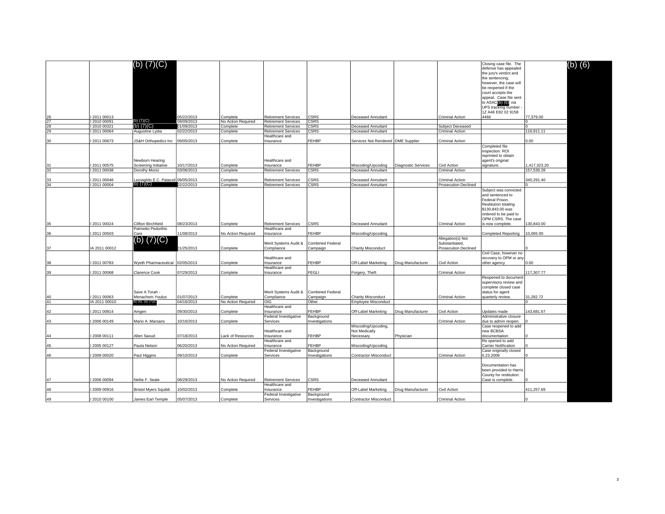|                 |               |                                                              |            |                    |                                        |                          |                                    |                     |                             | Closing case file. The                                |              |             |
|-----------------|---------------|--------------------------------------------------------------|------------|--------------------|----------------------------------------|--------------------------|------------------------------------|---------------------|-----------------------------|-------------------------------------------------------|--------------|-------------|
|                 |               | $(b)$ $(7)(C)$                                               |            |                    |                                        |                          |                                    |                     |                             |                                                       |              | $(b)$ $(6)$ |
|                 |               |                                                              |            |                    |                                        |                          |                                    |                     |                             | defense has appealed                                  |              |             |
|                 |               |                                                              |            |                    |                                        |                          |                                    |                     |                             | the jury's verdict and                                |              |             |
|                 |               |                                                              |            |                    |                                        |                          |                                    |                     |                             | the sentencing;                                       |              |             |
|                 |               |                                                              |            |                    |                                        |                          |                                    |                     |                             | however, the case will                                |              |             |
|                 |               |                                                              |            |                    |                                        |                          |                                    |                     |                             |                                                       |              |             |
|                 |               |                                                              |            |                    |                                        |                          |                                    |                     |                             | be reopened if the                                    |              |             |
|                 |               |                                                              |            |                    |                                        |                          |                                    |                     |                             | court accepts the                                     |              |             |
|                 |               |                                                              |            |                    |                                        |                          |                                    |                     |                             | appeal. Case file sent                                |              |             |
|                 |               |                                                              |            |                    |                                        |                          |                                    |                     |                             |                                                       |              |             |
|                 |               |                                                              |            |                    |                                        |                          |                                    |                     |                             |                                                       |              |             |
|                 |               |                                                              |            |                    |                                        |                          |                                    |                     |                             | to ASAC <sup>(b)</sup> (c) via<br>UPS tracking number |              |             |
|                 |               |                                                              |            |                    |                                        |                          |                                    |                     |                             | 1Z A46 E82 02 9158                                    |              |             |
| 26              | 2011 00013    |                                                              | 05/22/2013 |                    | <b>Retirement Services</b>             | CSRS                     | Deceased Annuitant                 |                     | <b>Criminal Action</b>      | 4466                                                  | 77,379.00    |             |
|                 |               |                                                              |            | Complete           |                                        |                          |                                    |                     |                             |                                                       |              |             |
| 27              | I 2010 00091  | (b) (7)(C)                                                   | 09/09/2013 | No Action Required | <b>Retirement Services</b>             | <b>CSRS</b>              |                                    |                     |                             |                                                       |              |             |
| 28              | 2010 00321    | (b) $(7)(C)$                                                 | 01/09/2013 | Complete           | Retirement Services                    | CSRS                     | Deceased Annuitant                 |                     | Subject Deceased            |                                                       |              |             |
| 29              | I 2011 00064  | Augustine Lydia                                              | 02/22/2013 | Complete           | <b>Retirement Services</b>             | <b>CSRS</b>              | Deceased Annuitant                 |                     | Criminal Action             |                                                       | 116,911.11   |             |
|                 |               |                                                              |            |                    |                                        |                          |                                    |                     |                             |                                                       |              |             |
|                 |               |                                                              |            |                    | Healthcare and                         |                          |                                    |                     |                             |                                                       |              |             |
| 30              | 2011 00673    | JS&H Orthopedics Inc 09/05/2013                              |            | Complete           | nsurance                               | FEHBP                    | Services Not Rendered DME Supplier |                     | Criminal Action             |                                                       | 0.00         |             |
|                 |               |                                                              |            |                    |                                        |                          |                                    |                     |                             | Completed file                                        |              |             |
|                 |               |                                                              |            |                    |                                        |                          |                                    |                     |                             |                                                       |              |             |
|                 |               |                                                              |            |                    |                                        |                          |                                    |                     |                             | inspection. ROI                                       |              |             |
|                 |               |                                                              |            |                    |                                        |                          |                                    |                     |                             | reprinted to obtain                                   |              |             |
|                 |               | Newborn Hearing                                              |            |                    | Healthcare and                         |                          |                                    |                     |                             | agent's original                                      |              |             |
|                 |               |                                                              |            |                    |                                        |                          |                                    |                     |                             |                                                       |              |             |
|                 | 2011 00575    | Screening Initiative                                         | 10/17/2013 | Complete           | nsurance                               | FEHBP                    | Miscoding/Upcoding                 | Diagnostic Services | Civil Action                | signature.                                            | 1,417,323.20 |             |
| 32              | 2011 00038    | Dorothy Moniz                                                | 03/06/2013 | Complete           | <b>Retirement Services</b>             | CSRS                     | <b>Deceased Annuitant</b>          |                     | Criminal Action             |                                                       | 157,539.28   |             |
|                 |               |                                                              |            |                    |                                        |                          |                                    |                     |                             |                                                       |              |             |
|                 |               |                                                              |            |                    |                                        |                          |                                    |                     |                             |                                                       |              |             |
| 33              | 2011 00046    | Leovigildo E.C. Patacsil 09/05/2013<br>(b) (7) (C) 2/22/2013 |            | Complete           | Retirement Services                    | CSRS                     | Deceased Annuitant                 |                     | Criminal Action             |                                                       | 340,291.40   |             |
| $\overline{34}$ | I 2011 00004  |                                                              |            | Complete           | <b>Retirement Services</b>             | $\overline{\text{SSRS}}$ | Deceased Annuitant                 |                     | <b>Prosecution Declined</b> |                                                       |              |             |
|                 |               |                                                              |            |                    |                                        |                          |                                    |                     |                             | Subject was convicted                                 |              |             |
|                 |               |                                                              |            |                    |                                        |                          |                                    |                     |                             |                                                       |              |             |
|                 |               |                                                              |            |                    |                                        |                          |                                    |                     |                             | and sentenced to                                      |              |             |
|                 |               |                                                              |            |                    |                                        |                          |                                    |                     |                             | Federal Prison.                                       |              |             |
|                 |               |                                                              |            |                    |                                        |                          |                                    |                     |                             | <b>Restitution totaling</b>                           |              |             |
|                 |               |                                                              |            |                    |                                        |                          |                                    |                     |                             |                                                       |              |             |
|                 |               |                                                              |            |                    |                                        |                          |                                    |                     |                             | \$130,843.00 was                                      |              |             |
|                 |               |                                                              |            |                    |                                        |                          |                                    |                     |                             | ordered to be paid to                                 |              |             |
|                 |               |                                                              |            |                    |                                        |                          |                                    |                     |                             |                                                       |              |             |
|                 |               |                                                              |            |                    |                                        |                          |                                    |                     |                             | OPM CSRS. The case                                    |              |             |
|                 | 2011 00024    | Clifton Birchfield                                           | 08/23/2013 | Complete           | Retirement Services                    | CSRS                     | Deceased Annuitant                 |                     | <b>Criminal Action</b>      | s now complete.                                       | 130,843.00   |             |
|                 |               | Palmetto Pedorthic                                           |            |                    | Healthcare and                         |                          |                                    |                     |                             |                                                       |              |             |
|                 | 2011 00503    | Care)                                                        | 11/08/2013 | No Action Required | Insurance                              | FEHBP                    |                                    |                     |                             | Completed Reporting                                   | 10,065.00    |             |
|                 |               |                                                              |            |                    |                                        |                          | Miscoding/Upcoding                 |                     |                             |                                                       |              |             |
|                 |               | $(b)$ $(7)(C)$                                               |            |                    |                                        |                          |                                    |                     | Allegation(s) Not           |                                                       |              |             |
|                 |               |                                                              |            |                    | Merit Systems Audit &                  | <b>Combined Federal</b>  |                                    |                     | Substantiated,              |                                                       |              |             |
|                 | IA 2011 00012 |                                                              | 1/25/2013  | Complete           | Compliance                             | Campaign                 | <b>Charity Misconduct</b>          |                     | <b>Prosecution Declined</b> |                                                       |              |             |
|                 |               |                                                              |            |                    |                                        |                          |                                    |                     |                             |                                                       |              |             |
|                 |               |                                                              |            |                    |                                        |                          |                                    |                     |                             | Civil Case, however no                                |              |             |
|                 |               |                                                              |            |                    | Healthcare and                         |                          |                                    |                     |                             | recovery to OPM or any                                |              |             |
|                 | 2011 00783    | Wyeth Pharmaceutical                                         | 02/05/2013 | Complete           | nsurance                               | FEHBP                    | Off-Label Marketing                | Drug Manufacturer   | Civil Action                | other agency                                          | 0.00         |             |
|                 |               |                                                              |            |                    |                                        |                          |                                    |                     |                             |                                                       |              |             |
|                 |               |                                                              |            |                    | Healthcare and                         |                          |                                    |                     |                             |                                                       |              |             |
| 39              | 2011 00068    | Clarence Cook                                                | 07/29/2013 | Complete           | Insurance                              | <b>FEGLI</b>             | Forgery, Theft                     |                     | Criminal Action             |                                                       | 117,307.77   |             |
|                 |               |                                                              |            |                    |                                        |                          |                                    |                     |                             | Reopened to documen                                   |              |             |
|                 |               |                                                              |            |                    |                                        |                          |                                    |                     |                             |                                                       |              |             |
|                 |               |                                                              |            |                    |                                        |                          |                                    |                     |                             | supervisory review and                                |              |             |
|                 |               |                                                              |            |                    |                                        |                          |                                    |                     |                             | complete closed case                                  |              |             |
|                 |               | Save A Torah -                                               |            |                    | Merit Systems Audit & Combined Federal |                          |                                    |                     |                             | status for agent                                      |              |             |
|                 |               |                                                              |            |                    |                                        |                          |                                    |                     |                             |                                                       |              |             |
| 40              | 12011 00063   | Menachem Youlus                                              | 01/07/2013 | Complete           | Compliance                             | Campaign                 | <b>Charity Misconduct</b>          |                     | <b>Criminal Action</b>      | quarterly review.                                     | 31,282.72    |             |
| 41              | IA 2011 00010 | (b) (6), (b) (7)(C                                           | 04/16/2013 | No Action Required | OIG                                    | Other                    | <b>Employee Misconduct</b>         |                     |                             |                                                       |              |             |
|                 |               |                                                              |            |                    | Healthcare and                         |                          |                                    |                     |                             |                                                       |              |             |
|                 |               |                                                              |            |                    |                                        |                          |                                    |                     |                             |                                                       | 143,681.67   |             |
|                 | 2011 00814    | Amgen                                                        | 09/30/2013 | Complete           | nsurance                               | FEHBP                    | Off-Label Marketing                | Drug Manufacturer   | Civil Action                | Jpdates made                                          |              |             |
|                 |               |                                                              |            |                    | Federal Investigative                  | Background               |                                    |                     |                             | Administrative closure                                |              |             |
| 43              | 2006 00149    | Mario A. Marsans                                             | 10/16/2013 | Complete           | Services                               | nvestigations            |                                    |                     | Criminal Action             | due to admin reopen.                                  |              |             |
|                 |               |                                                              |            |                    |                                        |                          |                                    |                     |                             | Case reopened to add                                  |              |             |
|                 |               |                                                              |            |                    |                                        |                          | Miscoding/Upcoding,                |                     |                             |                                                       |              |             |
|                 |               |                                                              |            |                    | Healthcare and                         |                          | Not Medically                      |                     |                             | new BCBSA                                             |              |             |
|                 | 2008 00111    | Allen Saoud                                                  | 07/18/2013 | Lack of Resources  | nsurance                               | FEHBP                    | Necessary                          | Physician           |                             | documentation                                         |              |             |
|                 |               |                                                              |            |                    | Healthcare and                         |                          |                                    |                     |                             | Re opened to add                                      |              |             |
|                 |               |                                                              |            |                    |                                        |                          |                                    |                     |                             |                                                       |              |             |
| 45              | 2005 00127    | Paula Nelson                                                 | 06/20/2013 | No Action Required | nsurance                               | FEHBP                    | Miscoding/Upcoding                 |                     |                             | Carrier Notification                                  |              |             |
|                 |               |                                                              |            |                    | Federal Investigative                  | Background               |                                    |                     |                             | Case originally closed                                |              |             |
| 46              | 2009 00020    | Paul Higgins                                                 | 09/10/2013 | Complete           | Services                               | Investigations           | <b>Contractor Misconduct</b>       |                     | Criminal Action             | 6.23.2009                                             |              |             |
|                 |               |                                                              |            |                    |                                        |                          |                                    |                     |                             |                                                       |              |             |
|                 |               |                                                              |            |                    |                                        |                          |                                    |                     |                             |                                                       |              |             |
|                 |               |                                                              |            |                    |                                        |                          |                                    |                     |                             | Documentation has                                     |              |             |
|                 |               |                                                              |            |                    |                                        |                          |                                    |                     |                             | been provided to Harris                               |              |             |
|                 |               |                                                              |            |                    |                                        |                          |                                    |                     |                             |                                                       |              |             |
|                 |               |                                                              |            |                    |                                        |                          |                                    |                     |                             | County for restitution.                               |              |             |
| 47              | 2006 00094    | Nellie F. Seale                                              | 08/29/2013 | No Action Required | Retirement Services                    | CSRS                     | Deceased Annuitant                 |                     |                             | Case is complete.                                     |              |             |
|                 |               |                                                              |            |                    |                                        |                          |                                    |                     |                             |                                                       |              |             |
|                 |               |                                                              |            |                    | Healthcare and                         |                          |                                    |                     |                             |                                                       |              |             |
|                 | 2009 00916    | <b>Bristol Myers Squibb</b>                                  | 10/02/2013 | Complete           | nsurance                               | EHBP                     | Off-Label Marketing                | Drug Manufacturer   | Civil Action                |                                                       | 411,257.69   |             |
|                 |               |                                                              |            |                    |                                        |                          |                                    |                     |                             |                                                       |              |             |
|                 |               |                                                              |            |                    | Federal Investigative                  | Background               |                                    |                     |                             |                                                       |              |             |
|                 |               |                                                              |            |                    |                                        |                          |                                    |                     |                             |                                                       |              |             |
| 49              | 2010 00100    | James Earl Temple                                            | 05/07/2013 | Complete           | Services                               | Investigations           | <b>Contractor Misconduct</b>       |                     | <b>Criminal Action</b>      |                                                       |              |             |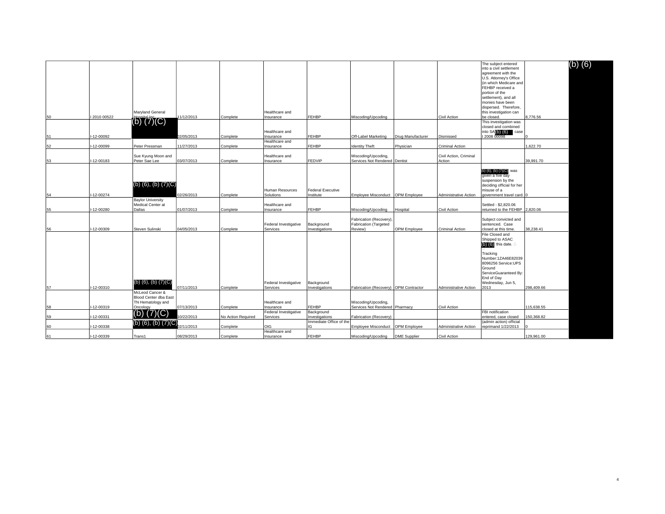|    |               |                            |            |                    |                                   |                          |                                  |                     |                        | The subject entered                           | $(b)$ $(6)$ |
|----|---------------|----------------------------|------------|--------------------|-----------------------------------|--------------------------|----------------------------------|---------------------|------------------------|-----------------------------------------------|-------------|
|    |               |                            |            |                    |                                   |                          |                                  |                     |                        | into a civil settlement                       |             |
|    |               |                            |            |                    |                                   |                          |                                  |                     |                        | agreement with the                            |             |
|    |               |                            |            |                    |                                   |                          |                                  |                     |                        | U.S. Attorney's Office                        |             |
|    |               |                            |            |                    |                                   |                          |                                  |                     |                        | (in which Medicare and                        |             |
|    |               |                            |            |                    |                                   |                          |                                  |                     |                        | FEHBP received a                              |             |
|    |               |                            |            |                    |                                   |                          |                                  |                     |                        | portion of the                                |             |
|    |               |                            |            |                    |                                   |                          |                                  |                     |                        | settlement), and all                          |             |
|    |               |                            |            |                    |                                   |                          |                                  |                     |                        | monies have been                              |             |
|    |               |                            |            |                    |                                   |                          |                                  |                     |                        | dispersed. Therefore,                         |             |
| 50 | 2010 00522    | Maryland General           | 11/12/2013 |                    | Healthcare and                    | FEHBP                    |                                  |                     | Civil Action           | this investigation can                        | 8.776.56    |
|    |               |                            |            | Complete           | Insurance                         |                          | Miscoding/Upcoding               |                     |                        | be closed.                                    |             |
|    |               | (b) $(7)(C)$               |            |                    |                                   |                          |                                  |                     |                        | This investigation was<br>closed and combined |             |
|    |               |                            |            |                    | Healthcare and                    |                          |                                  |                     |                        |                                               |             |
|    | $-12 - 00092$ |                            | 02/05/2013 | Complete           | Insurance                         | FEHBP                    | Off-Label Marketing              | Drug Manufacturer   | Dismissed              | into SA(b) (6) case<br>1 2008 00098           |             |
|    |               |                            |            |                    | Healthcare and                    |                          |                                  |                     |                        |                                               |             |
| 52 | $-12 - 00099$ | Peter Pressman             | 11/27/2013 | Complete           | Insurance                         | FEHBP                    | <b>Identity Theft</b>            | Physician           | <b>Criminal Action</b> |                                               | 1,622.70    |
|    |               |                            |            |                    |                                   |                          |                                  |                     |                        |                                               |             |
|    |               | Sue Kyung Moon and         |            |                    | Healthcare and                    |                          | Miscoding/Upcoding,              |                     | Civil Action, Criminal |                                               |             |
| 53 | $-12 - 00183$ | Peter Sae Lee              | 03/07/2013 | Complete           | Insurance                         | FEDVIP                   | Services Not Rendered Dentist    |                     | Action                 |                                               | 39.991.70   |
|    |               |                            |            |                    |                                   |                          |                                  |                     |                        |                                               |             |
|    |               |                            |            |                    |                                   |                          |                                  |                     |                        | (b) (6), (b) (7)(C) was                       |             |
|    |               |                            |            |                    |                                   |                          |                                  |                     |                        | given a five day                              |             |
|    |               |                            |            |                    |                                   |                          |                                  |                     |                        | suspension by the                             |             |
|    |               | (b) (6), (b) (7)(C)        |            |                    |                                   |                          |                                  |                     |                        | deciding official for her                     |             |
|    |               |                            |            |                    | Human Resources                   | <b>Federal Executive</b> |                                  |                     |                        | misuse of a                                   |             |
| 54 | $-12 - 00274$ |                            | 02/26/2013 | Complete           | Solutions                         | Institute                | <b>Employee Misconduct</b>       | OPM Employee        | Administrative Action  | government travel card.                       |             |
|    |               | <b>Baylor University</b>   |            |                    |                                   |                          |                                  |                     |                        |                                               |             |
|    |               | Medical Center at          |            |                    | Healthcare and                    |                          |                                  |                     |                        | Settled - \$2,820.06                          |             |
| 55 | I-12-00280    | Dallas                     | 01/07/2013 | Complete           | Insurance                         | FEHBP                    | Miscoding/Upcoding               | Hospital            | Civil Action           | returned to the FEHBP 2,820.06                |             |
|    |               |                            |            |                    |                                   |                          |                                  |                     |                        |                                               |             |
|    |               |                            |            |                    |                                   |                          | Fabrication (Recovery),          |                     |                        | Subject convicted and                         |             |
| 56 | I-12-00309    | Steven Sulinski            | 04/05/2013 | Complete           | Federal Investigative<br>Services | Background               | Fabrication (Targeted<br>Review) | OPM Employee        | <b>Criminal Action</b> | sentenced. Case<br>closed at this time.       | 38,238.41   |
|    |               |                            |            |                    |                                   | Investigations           |                                  |                     |                        | File Closed and                               |             |
|    |               |                            |            |                    |                                   |                          |                                  |                     |                        | Shipped to ASAC                               |             |
|    |               |                            |            |                    |                                   |                          |                                  |                     |                        |                                               |             |
|    |               |                            |            |                    |                                   |                          |                                  |                     |                        | $(b)$ $(6)$ this date. $\Box$                 |             |
|    |               |                            |            |                    |                                   |                          |                                  |                     |                        | Tracking                                      |             |
|    |               |                            |            |                    |                                   |                          |                                  |                     |                        | Number:1ZA46E82039                            |             |
|    |               |                            |            |                    |                                   |                          |                                  |                     |                        | 8096256 Service:UPS                           |             |
|    |               |                            |            |                    |                                   |                          |                                  |                     |                        | Ground                                        |             |
|    |               |                            |            |                    |                                   |                          |                                  |                     |                        | ServiceGuaranteed By:                         |             |
|    |               |                            |            |                    |                                   |                          |                                  |                     |                        | End of Day                                    |             |
|    |               | (b) $(6)$ , $(b)$ $(7)(C)$ |            |                    | Federal Investigative             | Background               |                                  |                     |                        | Wednesday, Jun 5,                             |             |
| 57 | $-12 - 00310$ |                            | 07/11/2013 | Complete           | Services                          | Investigations           | Fabrication (Recovery)           | OPM Contractor      | Administrative Action  | 2013                                          | 298,409.66  |
|    |               | McLeod Cancer &            |            |                    |                                   |                          |                                  |                     |                        |                                               |             |
|    |               | Blood Center dba East      |            |                    |                                   |                          |                                  |                     |                        |                                               |             |
|    |               | TN Hematology and          |            |                    | Healthcare and                    |                          | Miscoding/Upcoding,              |                     |                        |                                               |             |
| 58 | $-12 - 00319$ | Oncology                   | 07/13/2013 | Complete           | Insurance                         | FEHBP                    | Services Not Rendered Pharmacy   |                     | Civil Action           |                                               | 115,638.55  |
|    |               | (7)(C)<br>(b)              |            |                    | Federal Investigative             | Background               |                                  |                     |                        | <b>FBI</b> notification                       |             |
| 59 | $-12 - 00331$ |                            | 0/22/2013  | No Action Required | Services                          | nvestigations            | Fabrication (Recovery)           |                     |                        | entered, case closed                          | 150,368.82  |
|    |               | (b) (6), (b) $(7)(C)$      |            |                    |                                   | Immediate Office of the  |                                  |                     |                        | (admin action) official                       |             |
| 60 | I-12-00338    |                            | 2/11/2013  | Complete           | OIG                               | IG                       | <b>Employee Misconduct</b>       | OPM Employee        | Administrative Action  | eprimand 1/22/2013                            |             |
|    | I-12-00339    |                            |            |                    | Healthcare and                    | FEHBP                    |                                  |                     |                        |                                               | 129.961.00  |
| 61 |               | Trans1                     | 08/29/2013 | Complete           | Insurance                         |                          | Miscoding/Upcoding               | <b>DME</b> Supplier | Civil Action           |                                               |             |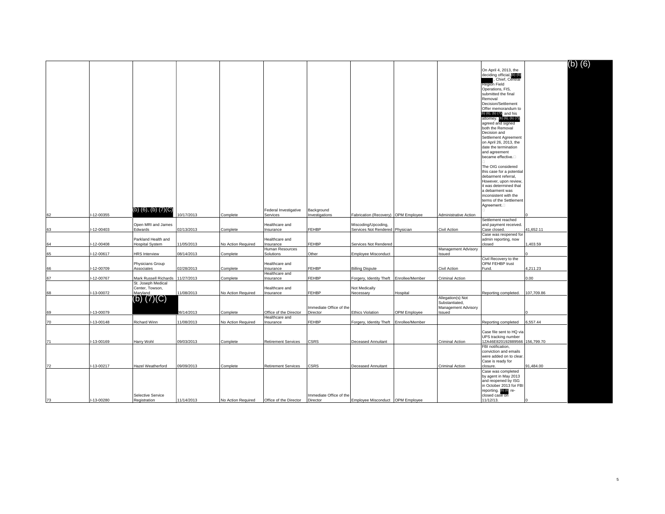|    |               |                                  |            |                           |                            |                         |                                         |                     |                            |                                         |            | $(b)$ $(6)$ |
|----|---------------|----------------------------------|------------|---------------------------|----------------------------|-------------------------|-----------------------------------------|---------------------|----------------------------|-----------------------------------------|------------|-------------|
|    |               |                                  |            |                           |                            |                         |                                         |                     |                            | On April 4, 2013, the                   |            |             |
|    |               |                                  |            |                           |                            |                         |                                         |                     |                            | deciding official, (b) (6)              |            |             |
|    |               |                                  |            |                           |                            |                         |                                         |                     |                            | Chief, Central                          |            |             |
|    |               |                                  |            |                           |                            |                         |                                         |                     |                            | Region Field                            |            |             |
|    |               |                                  |            |                           |                            |                         |                                         |                     |                            | Operations, FIS,                        |            |             |
|    |               |                                  |            |                           |                            |                         |                                         |                     |                            | submitted the final                     |            |             |
|    |               |                                  |            |                           |                            |                         |                                         |                     |                            | Removal                                 |            |             |
|    |               |                                  |            |                           |                            |                         |                                         |                     |                            | Decision/Settlement                     |            |             |
|    |               |                                  |            |                           |                            |                         |                                         |                     |                            | Offer memorandum to                     |            |             |
|    |               |                                  |            |                           |                            |                         |                                         |                     |                            | $(b)$ $(6)$ , $(b)$ $(7)$ and his       |            |             |
|    |               |                                  |            |                           |                            |                         |                                         |                     |                            |                                         |            |             |
|    |               |                                  |            |                           |                            |                         |                                         |                     |                            | attorney. (b) (6), (b) (7)              |            |             |
|    |               |                                  |            |                           |                            |                         |                                         |                     |                            | agreed and signed                       |            |             |
|    |               |                                  |            |                           |                            |                         |                                         |                     |                            | both the Removal                        |            |             |
|    |               |                                  |            |                           |                            |                         |                                         |                     |                            | Decision and                            |            |             |
|    |               |                                  |            |                           |                            |                         |                                         |                     |                            | Settlement Agreement                    |            |             |
|    |               |                                  |            |                           |                            |                         |                                         |                     |                            | on April 26, 2013, the                  |            |             |
|    |               |                                  |            |                           |                            |                         |                                         |                     |                            | date the termination                    |            |             |
|    |               |                                  |            |                           |                            |                         |                                         |                     |                            | and agreement                           |            |             |
|    |               |                                  |            |                           |                            |                         |                                         |                     |                            | became effective.                       |            |             |
|    |               |                                  |            |                           |                            |                         |                                         |                     |                            |                                         |            |             |
|    |               |                                  |            |                           |                            |                         |                                         |                     |                            |                                         |            |             |
|    |               |                                  |            |                           |                            |                         |                                         |                     |                            | The OIG considered                      |            |             |
|    |               |                                  |            |                           |                            |                         |                                         |                     |                            | this case for a potential               |            |             |
|    |               |                                  |            |                           |                            |                         |                                         |                     |                            | debarment referral,                     |            |             |
|    |               |                                  |            |                           |                            |                         |                                         |                     |                            | However, upon review,                   |            |             |
|    |               |                                  |            |                           |                            |                         |                                         |                     |                            | it was determined that                  |            |             |
|    |               |                                  |            |                           |                            |                         |                                         |                     |                            | a debarment was                         |            |             |
|    |               |                                  |            |                           |                            |                         |                                         |                     |                            | inconsistent with the                   |            |             |
|    |               |                                  |            |                           |                            |                         |                                         |                     |                            | terms of the Settlement                 |            |             |
|    |               |                                  |            |                           |                            |                         |                                         |                     |                            | Agreement.                              |            |             |
|    |               | (b) (6), (b) (7)(C)              |            |                           | Federal Investigative      | Background              |                                         |                     |                            |                                         |            |             |
|    |               |                                  | 10/17/2013 |                           |                            |                         | Fabrication (Recovery) OPM Employee     |                     | Administrative Action      |                                         |            |             |
| 62 | 12-00355      |                                  |            | Complete                  | Services                   | Investigations          |                                         |                     |                            |                                         |            |             |
|    |               |                                  |            |                           |                            |                         |                                         |                     |                            | Settlement reached                      |            |             |
|    |               | Open MRI and James               |            |                           | Healthcare and             |                         | Miscoding/Upcoding,                     |                     |                            | and payment received.                   |            |             |
| 63 | $-12 - 00403$ | Edwards                          | 02/13/2013 | Complete                  | Insurance                  | FEHBP                   | Services Not Rendered Physician         |                     | Civil Action               | Case closed                             | 41,652.11  |             |
|    |               |                                  |            |                           |                            |                         |                                         |                     |                            | Case was reopened for                   |            |             |
|    |               | Parkland Health and              |            |                           | Healthcare and             |                         |                                         |                     |                            | admin reporting, now                    |            |             |
| 64 | $-12 - 00408$ | <b>Hospital System</b>           | 11/05/2013 | No Action Required        | Insurance                  | FEHBP                   | Services Not Rendered                   |                     |                            | closed                                  | 1,403.59   |             |
|    |               |                                  |            |                           | Human Resources            |                         |                                         |                     | <b>Management Advisory</b> |                                         |            |             |
| 65 | $-12 - 00617$ | <b>HRS</b> Interview             | 08/14/2013 | Complete                  | Solutions                  | Other                   | Employee Misconduct                     |                     | ssued                      |                                         |            |             |
|    |               |                                  |            |                           |                            |                         |                                         |                     |                            | Civil Recovery to the                   |            |             |
|    |               |                                  |            |                           |                            |                         |                                         |                     |                            |                                         |            |             |
|    |               | Physicians Group                 |            |                           | Healthcare and             |                         |                                         |                     |                            | OPM FEHBP trust                         |            |             |
| 66 | $-12 - 00709$ | Associates                       | 02/28/2013 | Complete                  | Insurance                  | FEHBP                   | <b>Billing Dispute</b>                  |                     | Civil Action               | Fund.                                   | 4,211.23   |             |
|    |               |                                  |            |                           | Healthcare and             |                         |                                         |                     |                            |                                         |            |             |
| 67 | $-12 - 00767$ | Mark Russell Richards 11/27/2013 |            | Complete                  | nsurance                   | FEHBP                   | Forgery, Identity Theft Enrollee/Member |                     | Criminal Action            |                                         | 0.00       |             |
|    |               | St. Joseph Medical               |            |                           |                            |                         |                                         |                     |                            |                                         |            |             |
|    |               | Center, Towson,                  |            |                           | Healthcare and             |                         | Not Medically                           |                     |                            |                                         |            |             |
| 68 | $-13 - 00072$ | Maryland                         | 11/08/2013 | <b>Vo Action Required</b> | Insurance                  | FEHBP                   | Necessary                               | Hospital            |                            | Reporting completed.                    | 107,709.86 |             |
|    |               |                                  |            |                           |                            |                         |                                         |                     | Allegation(s) Not          |                                         |            |             |
|    |               | $(b)$ $(7)(C)$                   |            |                           |                            |                         |                                         |                     |                            |                                         |            |             |
|    |               |                                  |            |                           |                            |                         |                                         |                     | Substantiated,             |                                         |            |             |
|    |               |                                  |            |                           |                            | Immediate Office of the |                                         |                     | Management Advisory        |                                         |            |             |
| 69 | I-13-00079    |                                  | 08/14/2013 | Complete                  | Office of the Director     | Director                | <b>Ethics Violation</b>                 | <b>OPM Employee</b> | Issued                     |                                         |            |             |
|    |               |                                  |            |                           | Healthcare and             |                         |                                         |                     |                            |                                         |            |             |
| 70 | I-13-00148    | Richard Winn                     | 11/08/2013 | No Action Required        | Insurance                  | FEHBP                   | Forgery, Identity Theft                 | Enrollee/Member     |                            | Reporting completed                     | 6,557.44   |             |
|    |               |                                  |            |                           |                            |                         |                                         |                     |                            |                                         |            |             |
|    |               |                                  |            |                           |                            |                         |                                         |                     |                            | Case file sent to HQ via                |            |             |
|    |               |                                  |            |                           |                            |                         |                                         |                     |                            | UPS tracking number                     |            |             |
| 71 | I-13-00169    | Harry Wohl                       | 09/03/2013 | Complete                  | <b>Retirement Services</b> | CSRS                    | Deceased Annuitant                      |                     | Criminal Action            | 1ZA46E820192889566 156,799.70           |            |             |
|    |               |                                  |            |                           |                            |                         |                                         |                     |                            | FBI notification,                       |            |             |
|    |               |                                  |            |                           |                            |                         |                                         |                     |                            |                                         |            |             |
|    |               |                                  |            |                           |                            |                         |                                         |                     |                            | conviction and emails                   |            |             |
|    |               |                                  |            |                           |                            |                         |                                         |                     |                            | were added on to clear.                 |            |             |
|    |               |                                  |            |                           |                            |                         |                                         |                     |                            | Case is ready for                       |            |             |
| 72 | $-13 - 00217$ | Hazel Weatherford                | 09/09/2013 | Complete                  | Retirement Services        | <b>CSRS</b>             | <b>Deceased Annuitant</b>               |                     | <b>Criminal Action</b>     | closure.                                | 91.484.00  |             |
|    |               |                                  |            |                           |                            |                         |                                         |                     |                            | case was completed                      |            |             |
|    |               |                                  |            |                           |                            |                         |                                         |                     |                            | by agent in May 2013                    |            |             |
|    |               |                                  |            |                           |                            |                         |                                         |                     |                            | and reopened by ISG                     |            |             |
|    |               |                                  |            |                           |                            |                         |                                         |                     |                            | in October 2013 for FBI                 |            |             |
|    |               |                                  |            |                           |                            |                         |                                         |                     |                            |                                         |            |             |
|    |               |                                  |            |                           |                            |                         |                                         |                     |                            | reporting. (b) (6 re-<br>closed case on |            |             |
|    |               | Selective Service                |            |                           |                            | Immediate Office of the |                                         |                     |                            |                                         |            |             |
| 73 | I-13-00280    | Registration                     | 11/14/2013 | No Action Required        | Office of the Director     | Director                | Employee Misconduct OPM Employee        |                     |                            | 11/12/13.                               |            |             |